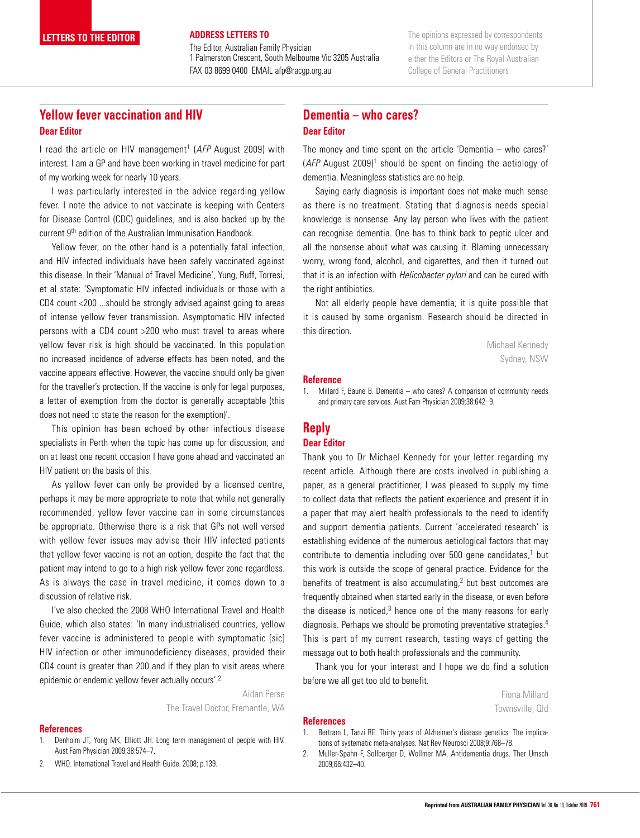The Editor, Australian Family Physician 1 Palmerston Crescent, South Melbourne Vic 3205 Australia FAX 03 8699 0400 EMAIL afp@racgp.org.au

The opinions expressed by correspondents in this column are in no way endorsed by either the Editors or The Royal Australian College of General Practitioners

# **Yellow fever vaccination and HIV Dear Editor**

**LETTERS TO THE EDITOR** 

I read the article on HIV management<sup>1</sup> (AFP August 2009) with interest. I am a GP and have been working in travel medicine for part of my working week for nearly 10 years.

I was particularly interested in the advice regarding yellow fever. I note the advice to not vaccinate is keeping with Centers for Disease Control (CDC) guidelines, and is also backed up by the current 9<sup>th</sup> edition of the Australian Immunisation Handbook.

Yellow fever, on the other hand is a potentially fatal infection, and HIV infected individuals have been safely vaccinated against this disease. In their 'Manual of Travel Medicine', Yung, Ruff, Torresi, et al state: 'Symptomatic HIV infected individuals or those with a CD4 count <200 ...should be strongly advised against going to areas of intense yellow fever transmission. Asymptomatic HIV infected persons with a CD4 count >200 who must travel to areas where yellow fever risk is high should be vaccinated. In this population no increased incidence of adverse effects has been noted, and the vaccine appears effective. However, the vaccine should only be given for the traveller's protection. If the vaccine is only for legal purposes, a letter of exemption from the doctor is generally acceptable (this does not need to state the reason for the exemption)'.

This opinion has been echoed by other infectious disease specialists in Perth when the topic has come up for discussion, and on at least one recent occasion I have gone ahead and vaccinated an HIV patient on the basis of this.

As yellow fever can only be provided by a licensed centre, perhaps it may be more appropriate to note that while not generally recommended, yellow fever vaccine can in some circumstances be appropriate. Otherwise there is a risk that GPs not well versed with yellow fever issues may advise their HIV infected patients that yellow fever vaccine is not an option, despite the fact that the patient may intend to go to a high risk yellow fever zone regardless. As is always the case in travel medicine, it comes down to a discussion of relative risk.

I've also checked the 2008 WHO International Travel and Health Guide, which also states: 'In many industrialised countries, yellow fever vaccine is administered to people with symptomatic [sic] HIV infection or other immunodeficiency diseases, provided their CD4 count is greater than 200 and if they plan to visit areas where epidemic or endemic yellow fever actually occurs'.<sup>2</sup>

> Aidan Perse The Travel Doctor, Fremantle, WA

### **References**

- 1. Denholm JT, Yong MK, Elliott JH. Long term management of people with HIV. Aust Fam Physician 2009;38:574–7.
- 2. WHO. International Travel and Health Guide. 2008; p.139.

## **Dementia – who cares? Dear Editor**

The money and time spent on the article 'Dementia – who cares?'  $(AFP$  August 2009)<sup>1</sup> should be spent on finding the aetiology of dementia. Meaningless statistics are no help.

Saying early diagnosis is important does not make much sense as there is no treatment. Stating that diagnosis needs special knowledge is nonsense. Any lay person who lives with the patient can recognise dementia. One has to think back to peptic ulcer and all the nonsense about what was causing it. Blaming unnecessary worry, wrong food, alcohol, and cigarettes, and then it turned out that it is an infection with *Helicobacter pylori* and can be cured with the right antibiotics.

Not all elderly people have dementia; it is quite possible that it is caused by some organism. Research should be directed in this direction.

> Michael Kennedy Sydney, NSW

#### **Reference**

1. Millard F, Baune B. Dementia – who cares? A comparison of community needs and primary care services. Aust Fam Physician 2009;38:642–9.

## **Reply Dear Editor**

Thank you to Dr Michael Kennedy for your letter regarding my recent article. Although there are costs involved in publishing a paper, as a general practitioner, I was pleased to supply my time to collect data that reflects the patient experience and present it in a paper that may alert health professionals to the need to identify and support dementia patients. Current 'accelerated research' is establishing evidence of the numerous aetiological factors that may contribute to dementia including over 500 gene candidates,<sup>1</sup> but this work is outside the scope of general practice. Evidence for the benefits of treatment is also accumulating, $2$  but best outcomes are frequently obtained when started early in the disease, or even before the disease is noticed, $3$  hence one of the many reasons for early diagnosis. Perhaps we should be promoting preventative strategies.4 This is part of my current research, testing ways of getting the message out to both health professionals and the community.

Thank you for your interest and I hope we do find a solution before we all get too old to benefit.

> Fiona Millard Townsville, Qld

#### **References**

- 1. Bertram L, Tanzi RE. Thirty years of Alzheimer's disease genetics: The implications of systematic meta-analyses. Nat Rev Neurosci 2008;9:768–78.
- 2. Muller-Spahn F, Sollberger D, Wollmer MA. Antidementia drugs. Ther Umsch 2009;66:432–40.